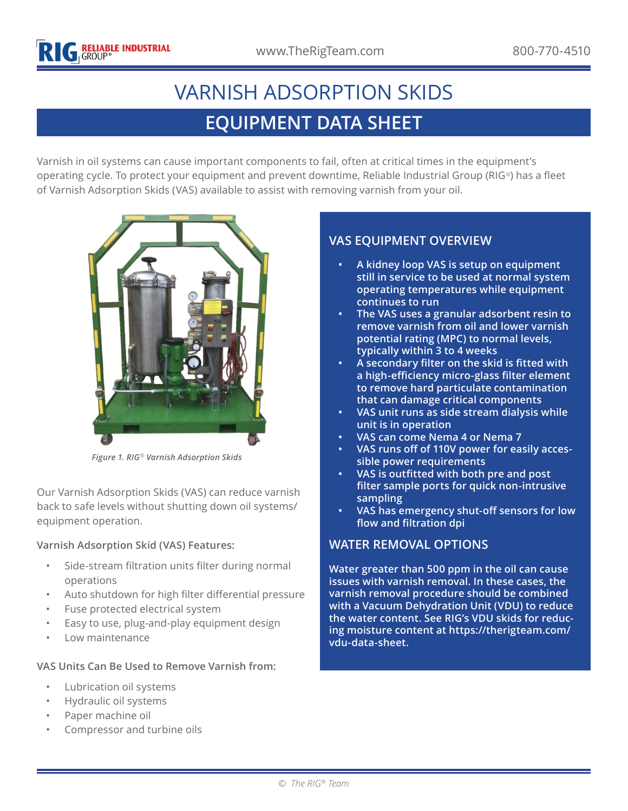# **EQUIPMENT DATA SHEET** VARNISH ADSORPTION SKIDS

Varnish in oil systems can cause important components to fail, often at critical times in the equipment's operating cycle. To protect your equipment and prevent downtime, Reliable Industrial Group (RIG*®*) has a fleet of Varnish Adsorption Skids (VAS) available to assist with removing varnish from your oil.



*Figure 1. RIG® Varnish Adsorption Skids*

Our Varnish Adsorption Skids (VAS) can reduce varnish back to safe levels without shutting down oil systems/ equipment operation.

#### **Varnish Adsorption Skid (VAS) Features:**

- Side-stream filtration units filter during normal operations
- Auto shutdown for high filter differential pressure
- Fuse protected electrical system
- Easy to use, plug-and-play equipment design
- Low maintenance

#### **VAS Units Can Be Used to Remove Varnish from:**

- Lubrication oil systems
- Hydraulic oil systems
- Paper machine oil
- Compressor and turbine oils

# **VAS EQUIPMENT OVERVIEW**

- **• A kidney loop VAS is setup on equipment still in service to be used at normal system operating temperatures while equipment continues to run**
- **• The VAS uses a granular adsorbent resin to remove varnish from oil and lower varnish potential rating (MPC) to normal levels, typically within 3 to 4 weeks**
- **• A secondary filter on the skid is fitted with a high-efficiency micro-glass filter element to remove hard particulate contamination that can damage critical components**
- **• VAS unit runs as side stream dialysis while unit is in operation**
- **• VAS can come Nema 4 or Nema 7**
- **• VAS runs off of 110V power for easily accessible power requirements**
- **• VAS is outfitted with both pre and post filter sample ports for quick non-intrusive sampling**
- **• VAS has emergency shut-off sensors for low flow and filtration dpi**

## **WATER REMOVAL OPTIONS**

**Water greater than 500 ppm in the oil can cause issues with varnish removal. In these cases, the varnish removal procedure should be combined with a Vacuum Dehydration Unit (VDU) to reduce the water content. See [RIG's VDU skids for reduc](https://therigteam.com/wp-content/uploads/2020/07/RIG-Vacuum-Dehydration-Oil-Purification-Units-Data-Sheet.pdf)[ing moisture content at https://therigteam.com/](https://therigteam.com/wp-content/uploads/2020/07/RIG-Vacuum-Dehydration-Oil-Purification-Units-Data-Sheet.pdf) [vdu-data-sheet.](https://therigteam.com/wp-content/uploads/2020/07/RIG-Vacuum-Dehydration-Oil-Purification-Units-Data-Sheet.pdf)**